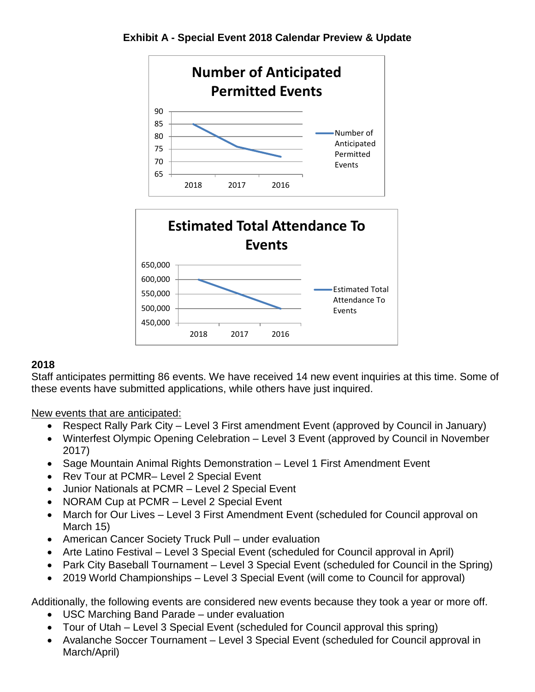

**Exhibit A - Special Event 2018 Calendar Preview & Update**

### **2018**

Staff anticipates permitting 86 events. We have received 14 new event inquiries at this time. Some of these events have submitted applications, while others have just inquired.

New events that are anticipated:

- Respect Rally Park City Level 3 First amendment Event (approved by Council in January)
- Winterfest Olympic Opening Celebration Level 3 Event (approved by Council in November 2017)
- Sage Mountain Animal Rights Demonstration Level 1 First Amendment Event
- Rev Tour at PCMR– Level 2 Special Event
- Junior Nationals at PCMR Level 2 Special Event
- NORAM Cup at PCMR Level 2 Special Event
- March for Our Lives Level 3 First Amendment Event (scheduled for Council approval on March 15)
- American Cancer Society Truck Pull under evaluation
- Arte Latino Festival Level 3 Special Event (scheduled for Council approval in April)
- Park City Baseball Tournament Level 3 Special Event (scheduled for Council in the Spring)
- 2019 World Championships Level 3 Special Event (will come to Council for approval)

Additionally, the following events are considered new events because they took a year or more off.

- USC Marching Band Parade under evaluation
- Tour of Utah Level 3 Special Event (scheduled for Council approval this spring)
- Avalanche Soccer Tournament Level 3 Special Event (scheduled for Council approval in March/April)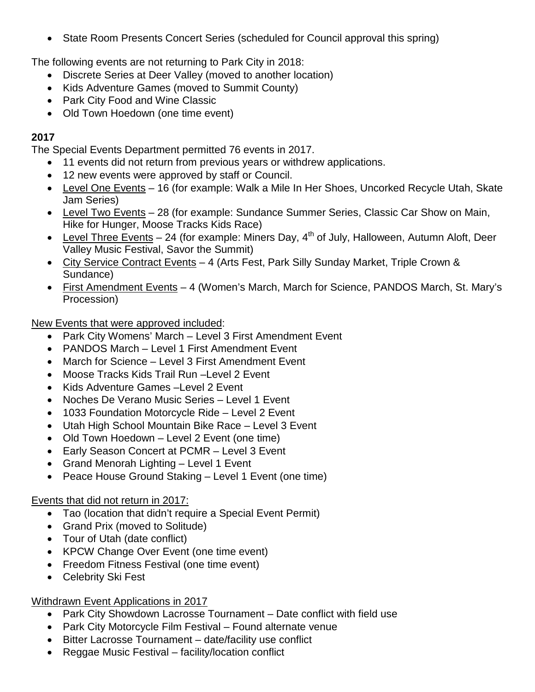• State Room Presents Concert Series (scheduled for Council approval this spring)

The following events are not returning to Park City in 2018:

- Discrete Series at Deer Valley (moved to another location)
- Kids Adventure Games (moved to Summit County)
- Park City Food and Wine Classic
- Old Town Hoedown (one time event)

# **2017**

The Special Events Department permitted 76 events in 2017.

- 11 events did not return from previous years or withdrew applications.
- 12 new events were approved by staff or Council.
- Level One Events 16 (for example: Walk a Mile In Her Shoes, Uncorked Recycle Utah, Skate Jam Series)
- Level Two Events 28 (for example: Sundance Summer Series, Classic Car Show on Main, Hike for Hunger, Moose Tracks Kids Race)
- Level Three Events 24 (for example: Miners Day,  $4<sup>th</sup>$  of July, Halloween, Autumn Aloft, Deer Valley Music Festival, Savor the Summit)
- City Service Contract Events 4 (Arts Fest, Park Silly Sunday Market, Triple Crown & Sundance)
- First Amendment Events 4 (Women's March, March for Science, PANDOS March, St. Mary's Procession)

New Events that were approved included:

- Park City Womens' March Level 3 First Amendment Event
- PANDOS March Level 1 First Amendment Event
- March for Science Level 3 First Amendment Event
- Moose Tracks Kids Trail Run –Level 2 Event
- Kids Adventure Games –Level 2 Event
- Noches De Verano Music Series Level 1 Event
- 1033 Foundation Motorcycle Ride Level 2 Event
- Utah High School Mountain Bike Race Level 3 Event
- Old Town Hoedown Level 2 Event (one time)
- Early Season Concert at PCMR Level 3 Event
- Grand Menorah Lighting Level 1 Event
- Peace House Ground Staking Level 1 Event (one time)

## Events that did not return in 2017:

- Tao (location that didn't require a Special Event Permit)
- Grand Prix (moved to Solitude)
- Tour of Utah (date conflict)
- KPCW Change Over Event (one time event)
- Freedom Fitness Festival (one time event)
- Celebrity Ski Fest

## Withdrawn Event Applications in 2017

- Park City Showdown Lacrosse Tournament Date conflict with field use
- Park City Motorcycle Film Festival Found alternate venue
- Bitter Lacrosse Tournament date/facility use conflict
- Reggae Music Festival facility/location conflict